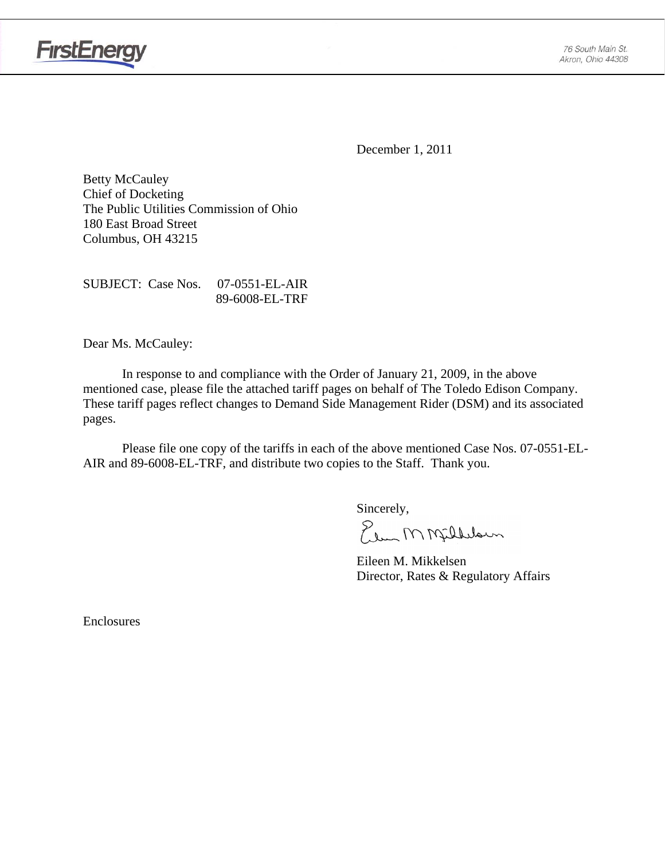

**FirstEnergy** 

December 1, 2011

Betty McCauley Chief of Docketing The Public Utilities Commission of Ohio 180 East Broad Street Columbus, OH 43215

SUBJECT: Case Nos. 07-0551-EL-AIR 89-6008-EL-TRF

Dear Ms. McCauley:

 In response to and compliance with the Order of January 21, 2009, in the above mentioned case, please file the attached tariff pages on behalf of The Toledo Edison Company. These tariff pages reflect changes to Demand Side Management Rider (DSM) and its associated pages.

Please file one copy of the tariffs in each of the above mentioned Case Nos. 07-0551-EL-AIR and 89-6008-EL-TRF, and distribute two copies to the Staff. Thank you.

Sincerely,

Elen M Milleloun

 Eileen M. Mikkelsen Director, Rates & Regulatory Affairs

Enclosures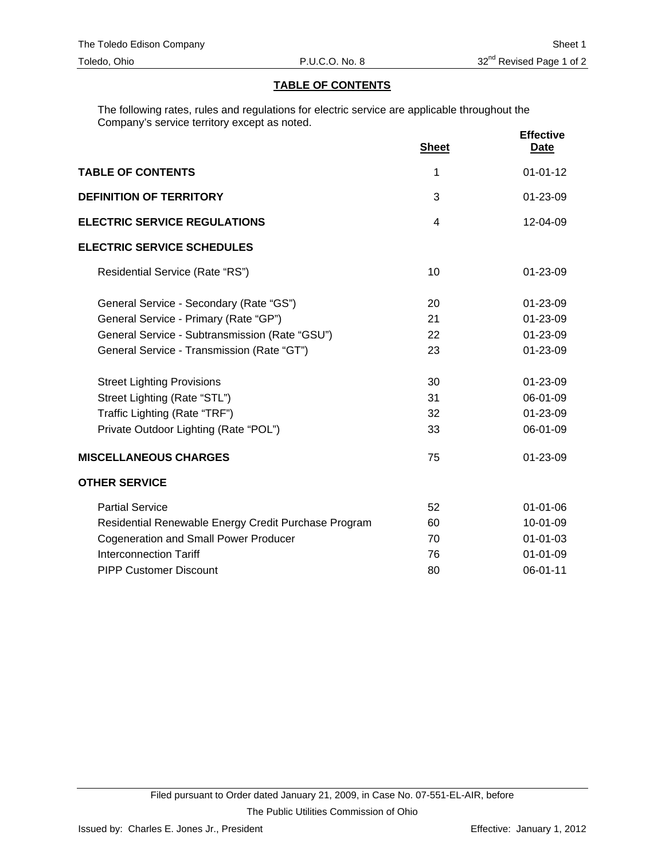#### **TABLE OF CONTENTS**

The following rates, rules and regulations for electric service are applicable throughout the Company's service territory except as noted.

|                                                      | <b>Sheet</b>   | <b>Effective</b><br><b>Date</b> |
|------------------------------------------------------|----------------|---------------------------------|
| <b>TABLE OF CONTENTS</b>                             | 1              | $01 - 01 - 12$                  |
| <b>DEFINITION OF TERRITORY</b>                       | 3              | 01-23-09                        |
| <b>ELECTRIC SERVICE REGULATIONS</b>                  | $\overline{4}$ | 12-04-09                        |
| <b>ELECTRIC SERVICE SCHEDULES</b>                    |                |                                 |
| Residential Service (Rate "RS")                      | 10             | $01 - 23 - 09$                  |
| General Service - Secondary (Rate "GS")              | 20             | 01-23-09                        |
| General Service - Primary (Rate "GP")                | 21             | 01-23-09                        |
| General Service - Subtransmission (Rate "GSU")       | 22             | 01-23-09                        |
| General Service - Transmission (Rate "GT")           | 23             | $01 - 23 - 09$                  |
| <b>Street Lighting Provisions</b>                    | 30             | 01-23-09                        |
| Street Lighting (Rate "STL")                         | 31             | 06-01-09                        |
| Traffic Lighting (Rate "TRF")                        | 32             | 01-23-09                        |
| Private Outdoor Lighting (Rate "POL")                | 33             | 06-01-09                        |
| <b>MISCELLANEOUS CHARGES</b>                         | 75             | 01-23-09                        |
| <b>OTHER SERVICE</b>                                 |                |                                 |
| <b>Partial Service</b>                               | 52             | $01 - 01 - 06$                  |
| Residential Renewable Energy Credit Purchase Program | 60             | 10-01-09                        |
| <b>Cogeneration and Small Power Producer</b>         | 70             | $01 - 01 - 03$                  |
| <b>Interconnection Tariff</b>                        | 76             | $01 - 01 - 09$                  |
| <b>PIPP Customer Discount</b>                        | 80             | 06-01-11                        |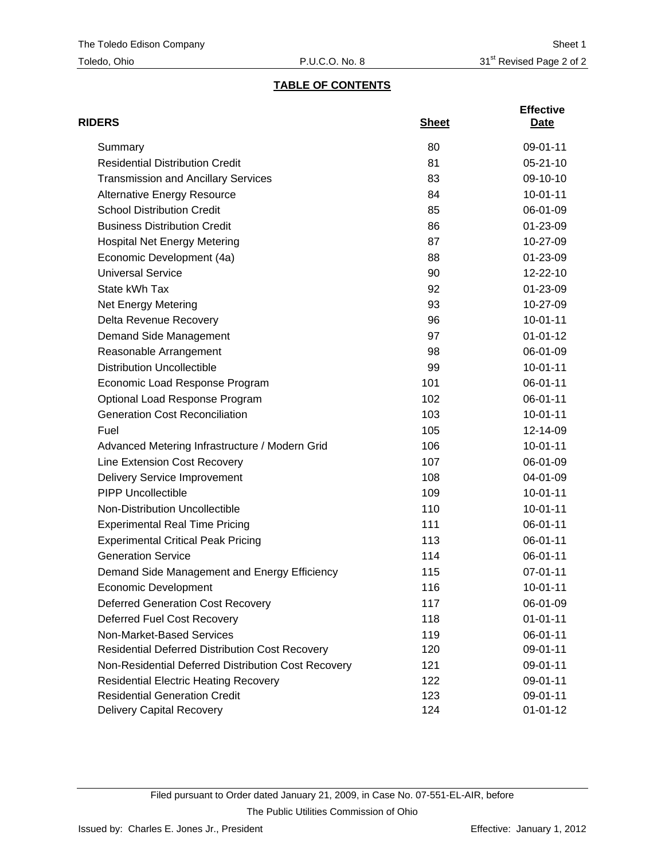# **TABLE OF CONTENTS**

| <b>RIDERS</b>                                          | <b>Sheet</b> | <b>Effective</b><br>Date |
|--------------------------------------------------------|--------------|--------------------------|
| Summary                                                | 80           | 09-01-11                 |
| <b>Residential Distribution Credit</b>                 | 81           | $05 - 21 - 10$           |
| <b>Transmission and Ancillary Services</b>             | 83           | 09-10-10                 |
| <b>Alternative Energy Resource</b>                     | 84           | $10 - 01 - 11$           |
| <b>School Distribution Credit</b>                      | 85           | 06-01-09                 |
| <b>Business Distribution Credit</b>                    | 86           | 01-23-09                 |
| <b>Hospital Net Energy Metering</b>                    | 87           | 10-27-09                 |
| Economic Development (4a)                              | 88           | 01-23-09                 |
| <b>Universal Service</b>                               | 90           | 12-22-10                 |
| State kWh Tax                                          | 92           | 01-23-09                 |
| Net Energy Metering                                    | 93           | 10-27-09                 |
| Delta Revenue Recovery                                 | 96           | $10 - 01 - 11$           |
| Demand Side Management                                 | 97           | $01 - 01 - 12$           |
| Reasonable Arrangement                                 | 98           | 06-01-09                 |
| <b>Distribution Uncollectible</b>                      | 99           | $10 - 01 - 11$           |
| Economic Load Response Program                         | 101          | 06-01-11                 |
| Optional Load Response Program                         | 102          | 06-01-11                 |
| <b>Generation Cost Reconciliation</b>                  | 103          | $10 - 01 - 11$           |
| Fuel                                                   | 105          | 12-14-09                 |
| Advanced Metering Infrastructure / Modern Grid         | 106          | $10 - 01 - 11$           |
| Line Extension Cost Recovery                           | 107          | 06-01-09                 |
| <b>Delivery Service Improvement</b>                    | 108          | 04-01-09                 |
| <b>PIPP Uncollectible</b>                              | 109          | $10 - 01 - 11$           |
| Non-Distribution Uncollectible                         | 110          | $10 - 01 - 11$           |
| <b>Experimental Real Time Pricing</b>                  | 111          | 06-01-11                 |
| <b>Experimental Critical Peak Pricing</b>              | 113          | 06-01-11                 |
| <b>Generation Service</b>                              | 114          | 06-01-11                 |
| Demand Side Management and Energy Efficiency           | 115          | 07-01-11                 |
| Economic Development                                   | 116          | 10-01-11                 |
| <b>Deferred Generation Cost Recovery</b>               | 117          | 06-01-09                 |
| Deferred Fuel Cost Recovery                            | 118          | $01 - 01 - 11$           |
| Non-Market-Based Services                              | 119          | 06-01-11                 |
| <b>Residential Deferred Distribution Cost Recovery</b> | 120          | 09-01-11                 |
| Non-Residential Deferred Distribution Cost Recovery    | 121          | 09-01-11                 |
| <b>Residential Electric Heating Recovery</b>           | 122          | 09-01-11                 |
| <b>Residential Generation Credit</b>                   | 123          | 09-01-11                 |
| Delivery Capital Recovery                              | 124          | $01 - 01 - 12$           |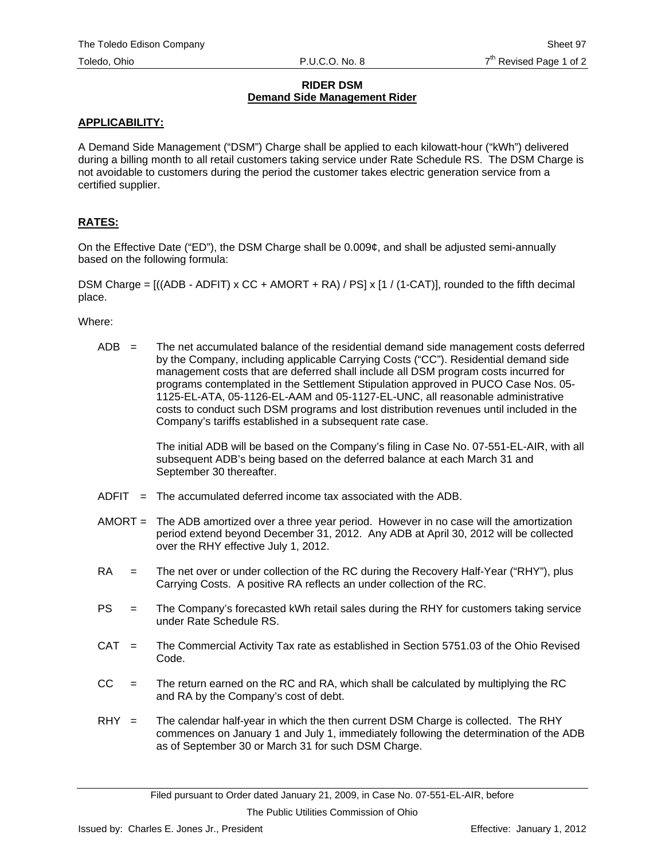#### **RIDER DSM Demand Side Management Rider**

### **APPLICABILITY:**

A Demand Side Management ("DSM") Charge shall be applied to each kilowatt-hour ("kWh") delivered during a billing month to all retail customers taking service under Rate Schedule RS. The DSM Charge is not avoidable to customers during the period the customer takes electric generation service from a certified supplier.

## **RATES:**

On the Effective Date ("ED"), the DSM Charge shall be 0.009¢, and shall be adjusted semi-annually based on the following formula:

DSM Charge =  $((ADB - ADFIT) \times CC + AMORT + RA) / PS \times [1 / (1-CAT)],$  rounded to the fifth decimal place.

Where:

 $ADB =$  The net accumulated balance of the residential demand side management costs deferred by the Company, including applicable Carrying Costs ("CC"). Residential demand side management costs that are deferred shall include all DSM program costs incurred for programs contemplated in the Settlement Stipulation approved in PUCO Case Nos. 05- 1125-EL-ATA, 05-1126-EL-AAM and 05-1127-EL-UNC, all reasonable administrative costs to conduct such DSM programs and lost distribution revenues until included in the Company's tariffs established in a subsequent rate case.

> The initial ADB will be based on the Company's filing in Case No. 07-551-EL-AIR, with all subsequent ADB's being based on the deferred balance at each March 31 and September 30 thereafter.

- $ADFIT = The accumulated deferred income tax associated with the ADB.$
- AMORT = The ADB amortized over a three year period. However in no case will the amortization period extend beyond December 31, 2012. Any ADB at April 30, 2012 will be collected over the RHY effective July 1, 2012.
- RA = The net over or under collection of the RC during the Recovery Half-Year ("RHY"), plus Carrying Costs. A positive RA reflects an under collection of the RC.
- PS = The Company's forecasted kWh retail sales during the RHY for customers taking service under Rate Schedule RS.
- CAT = The Commercial Activity Tax rate as established in Section 5751.03 of the Ohio Revised Code.
- $CC =$  The return earned on the RC and RA, which shall be calculated by multiplying the RC and RA by the Company's cost of debt.
- $RHY =$  The calendar half-year in which the then current DSM Charge is collected. The RHY commences on January 1 and July 1, immediately following the determination of the ADB as of September 30 or March 31 for such DSM Charge.